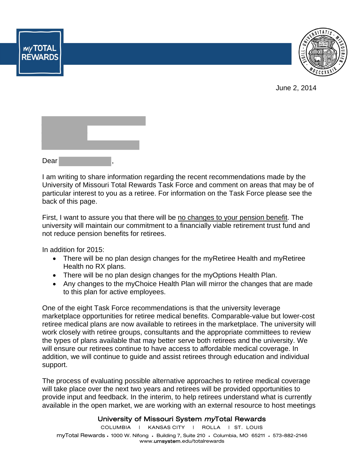

June 2, 2014

| Dear |  |  |
|------|--|--|

**MYTOTAL**<br>REWARDS

I am writing to share information regarding the recent recommendations made by the University of Missouri Total Rewards Task Force and comment on areas that may be of particular interest to you as a retiree. For information on the Task Force please see the back of this page.

First, I want to assure you that there will be no changes to your pension benefit. The university will maintain our commitment to a financially viable retirement trust fund and not reduce pension benefits for retirees.

In addition for 2015:

- There will be no plan design changes for the myRetiree Health and myRetiree Health no RX plans.
- There will be no plan design changes for the myOptions Health Plan.
- Any changes to the myChoice Health Plan will mirror the changes that are made to this plan for active employees.

One of the eight Task Force recommendations is that the university leverage marketplace opportunities for retiree medical benefits. Comparable-value but lower-cost retiree medical plans are now available to retirees in the marketplace. The university will work closely with retiree groups, consultants and the appropriate committees to review the types of plans available that may better serve both retirees and the university. We will ensure our retirees continue to have access to affordable medical coverage. In addition, we will continue to guide and assist retirees through education and individual support.

The process of evaluating possible alternative approaches to retiree medical coverage will take place over the next two years and retirees will be provided opportunities to provide input and feedback. In the interim, to help retirees understand what is currently available in the open market, we are working with an external resource to host meetings

## University of Missouri System myTotal Rewards

COLUMBIA | KANSAS CITY | ROLLA | ST. LOUIS myTotal Rewards • 1000 W. Nifong • Building 7, Suite 210 • Columbia, MO 65211 • 573-882-2146 www.umsystem.edu/totalrewards